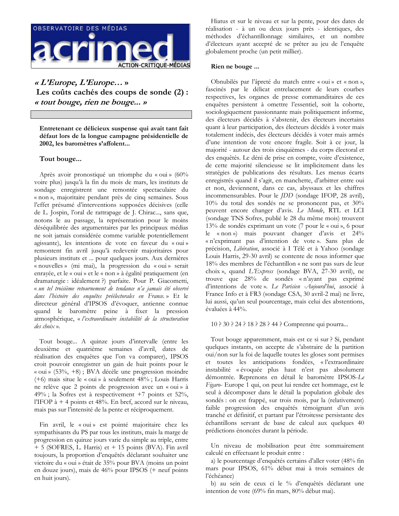

« L'Europe, L'Europe... » Les coûts cachés des coups de sonde (2) : « tout bouge, rien ne bouge... »

Entretenant ce délicieux suspense qui avait tant fait défaut lors de la longue campagne présidentielle de 2002, les baromètres s'affolent...

## Tout bouge...

Après avoir pronostiqué un triomphe du « oui » (60% voire plus) jusqu'à la fin du mois de mars, les instituts de sondage enregistrent une remontée spectaculaire du « non », majoritaire pendant près de cinq semaines. Sous l'effet présumé d'interventions supposées décisives (celle de L. Jospin, l'oral de rattrapage de J. Chirac..., sans que, notons le au passage, la représentation pour le moins déséquilibrée des argumentaires par les principaux médias ne soit jamais considérée comme variable potentiellement agissante), les intentions de vote en faveur du « oui » remontent fin avril jusqu'à redevenir majoritaires pour plusieurs instituts et ... pour quelques jours. Aux dernières « nouvelles » (mi mai), la progression du « oui » serait enrayée, et le « oui » et le « non » à égalité pratiquement (en dramaturgie : idéalement ?) parfaite. Pour P. Giacometti, « un tel troisième retournement de tendance n'a jamais été observé dans l'histoire des enquêtes préélectorales en France.» Et le directeur général d'IPSOS d'évoquer, antienne connue quand le baromètre peine à fixer la pression atmosphérique, « l'extraordinaire instabilité de la structuration des choix ».

Tout bouge... A quinze jours d'intervalle (entre les deuxième et quatrième semaines d'avril, dates de réalisation des enquêtes que l'on va comparer), IPSOS croit pouvoir enregistrer un gain de huit points pour le « oui » (53%, +8); BVA décèle une progression moindre (+6) mais situe le « oui » à seulement 48%; Louis Harris ne relève que 2 points de progression avec un « oui » à 49%; la Sofres est à respectivement +7 points et 52%, l'IFOP à + 4 points et 48%. En bref, accord sur le niveau, mais pas sur l'intensité de la pente et réciproquement.

Fin avril, le « oui » est pointé majoritaire chez les sympathisants du PS par tous les instituts, mais la marge de progression en quinze jours varie du simple au triple, entre + 5 (SOFRES, L. Harris) et + 15 points (BVA). Fin avril toujours, la proportion d'enquêtés déclarant souhaiter une victoire du « oui » était de 35% pour BVA (moins un point en douze jours), mais de 46% pour IPSOS (+ neuf points en huit jours).

Hiatus et sur le niveau et sur la pente, pour des dates de réalisation - à un ou deux jours près - identiques, des méthodes d'échantillonnage similaires, et un nombre d'électeurs ayant accepté de se prêter au jeu de l'enquête globalement proche (un petit millier).

## Rien ne bouge ...

Obnubilés par l'âpreté du match entre « oui » et « non », fascinés par le délicat entrelacement de leurs courbes respectives, les organes de presse commanditaires de ces enquêtes persistent à omettre l'essentiel, soit la cohorte, sociologiquement passionnante mais politiquement informe, des électeurs décidés à s'abstenir, des électeurs incertains quant à leur participation, des électeurs décidés à voter mais totalement indécis, des électeurs décidés à voter mais armés d'une intention de vote encore fragile. Soit à ce jour, la majorité - autour des trois cinquièmes - du corps électoral et des enquêtés. Le déni de prise en compte, voire d'existence, de cette majorité silencieuse se lit implicitement dans les stratégies de publications des résultats. Les menus écarts enregistrés quand il s'agit, en manchette, d'arbitrer entre oui et non, deviennent, dans ce cas, abyssaux et les chiffres incommensurables. Pour le *JDD* (sondage IFOP, 28 avril), 10% du total des sondés ne se prononcent pas, et 30% peuvent encore changer d'avis. Le Monde, RTL et LCI (sondage TNS Sofres, publié le 28 du même mois) trouvent 13% de sondés exprimant un vote (7 pour le « oui », 6 pour le « non ») mais pouvant changer d'avis et 24% « n'exprimant pas d'intention de vote ». Sans plus de précision, Libération, associé à I Télé et à Yahoo (sondage Louis Harris, 29-30 avril) se contente de nous informer que 18% des membres de l'échantillon « ne sont pas surs de leur choix», quand L'Express (sondage BVA, 27-30 avril), ne trouve que 28% de sondés « n'ayant pas exprimé d'intentions de vote». Le Parisien -Aujourd'hui, associé à France Info et à FR3 (sondage CSA, 30 avril-2 mai) ne livre, lui aussi, qu'un seul pourcentage, mais celui des abstentions, évaluées à 44%.

10 ? 30 ? 24 ? 18 ? 28 ? 44 ? Comprenne qui pourra...

Tout bouge apparemment, mais est ce si sur ? Si, pendant quelques instants, on accepte de s'abstraire de la partition oui/non sur la foi de laquelle toutes les gloses sont permises et toutes les anticipations fondées, « l'extraordinaire instabilité « évoquée plus haut n'est pas absolument démontrée. Reprenons en détail le baromètre IPSOS-Le Figaro-Europe 1 qui, on peut lui rendre cet hommage, est le seul à décomposer dans le détail la population globale des sondés : on est frappé, sur trois mois, par la (relativement) faible progression des enquêtés témoignant d'un avis tranché et définitif, et partant par l'étroitesse persistante des échantillons servant de base de calcul aux quelques 40 prédictions énoncées durant la période.

Un niveau de mobilisation peut être sommairement calculé en effectuant le produit entre :

a) le pourcentage d'enquêtés certains d'aller voter (48% fin mars pour IPSOS, 61% début mai à trois semaines de l'échéance)

b) au sein de ceux ci le % d'enquêtés déclarant une intention de vote (69% fin mars, 80% début mai).